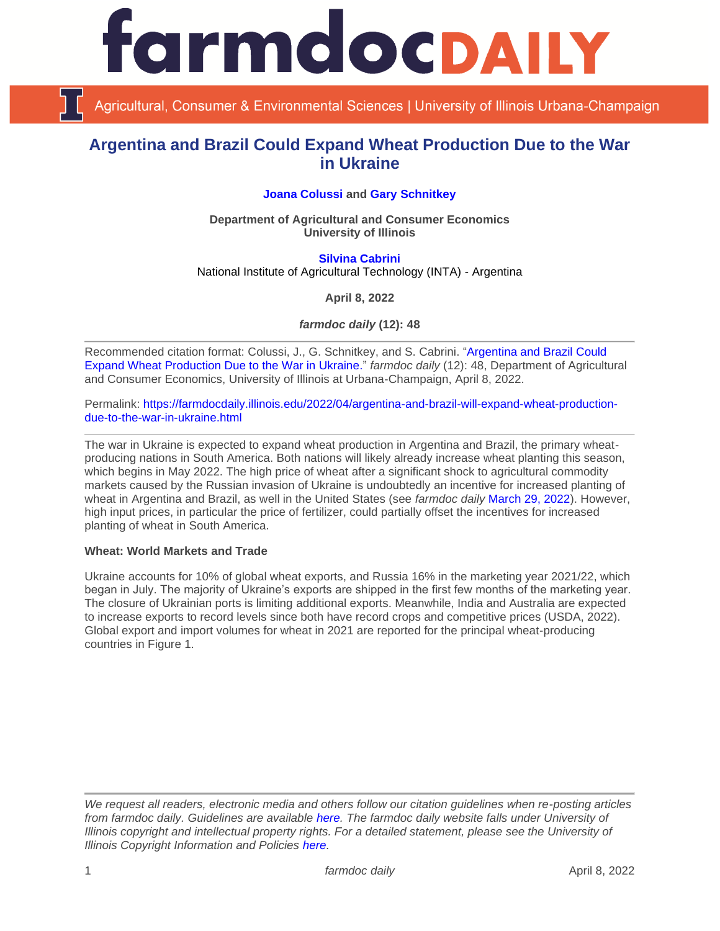

Agricultural, Consumer & Environmental Sciences | University of Illinois Urbana-Champaign

# **Argentina and Brazil Could Expand Wheat Production Due to the War in Ukraine**

# **[Joana Colussi](https://www.linkedin.com/in/joana-colussi-7856b3155/) and [Gary Schnitkey](https://ace.illinois.edu/directory/schnitke)**

**Department of Agricultural and Consumer Economics University of Illinois**

**[Silvina Cabrini](https://inta.gob.ar/personas/cabrini.silvina)** National Institute of Agricultural Technology (INTA) - Argentina

**April 8, 2022**

*farmdoc daily* **(12): 48**

Recommended citation format: Colussi, J., G. Schnitkey, and S. Cabrini. ["Argentina and Brazil Could](https://farmdocdaily.illinois.edu/2022/04/argentina-and-brazil-will-expand-wheat-production-due-to-the-war-in-ukraine.html) [Expand Wheat Production Due to the War in Ukraine."](https://farmdocdaily.illinois.edu/2022/04/argentina-and-brazil-will-expand-wheat-production-due-to-the-war-in-ukraine.html) *farmdoc daily* (12): 48, Department of Agricultural and Consumer Economics, University of Illinois at Urbana-Champaign, April 8, 2022.

Permalink: [https://farmdocdaily.illinois.edu/2022/04/argentina-and-brazil-will-expand-wheat-production](https://farmdocdaily.illinois.edu/2022/04/argentina-and-brazil-will-expand-wheat-production-due-to-the-war-in-ukraine.html)[due-to-the-war-in-ukraine.html](https://farmdocdaily.illinois.edu/2022/04/argentina-and-brazil-will-expand-wheat-production-due-to-the-war-in-ukraine.html)

The war in Ukraine is expected to expand wheat production in Argentina and Brazil, the primary wheatproducing nations in South America. Both nations will likely already increase wheat planting this season, which begins in May 2022. The high price of wheat after a significant shock to agricultural commodity markets caused by the Russian invasion of Ukraine is undoubtedly an incentive for increased planting of wheat in Argentina and Brazil, as well in the United States (see *farmdoc daily* [March 29, 2022\)](https://farmdocdaily.illinois.edu/2022/03/wheat-in-2023.html). However, high input prices, in particular the price of fertilizer, could partially offset the incentives for increased planting of wheat in South America.

### **Wheat: World Markets and Trade**

Ukraine accounts for 10% of global wheat exports, and Russia 16% in the marketing year 2021/22, which began in July. The majority of Ukraine's exports are shipped in the first few months of the marketing year. The closure of Ukrainian ports is limiting additional exports. Meanwhile, India and Australia are expected to increase exports to record levels since both have record crops and competitive prices (USDA, 2022). Global export and import volumes for wheat in 2021 are reported for the principal wheat-producing countries in Figure 1.

*We request all readers, electronic media and others follow our citation guidelines when re-posting articles from farmdoc daily. Guidelines are available [here.](http://farmdocdaily.illinois.edu/citationguide.html) The farmdoc daily website falls under University of Illinois copyright and intellectual property rights. For a detailed statement, please see the University of Illinois Copyright Information and Policies [here.](http://www.cio.illinois.edu/policies/copyright/)*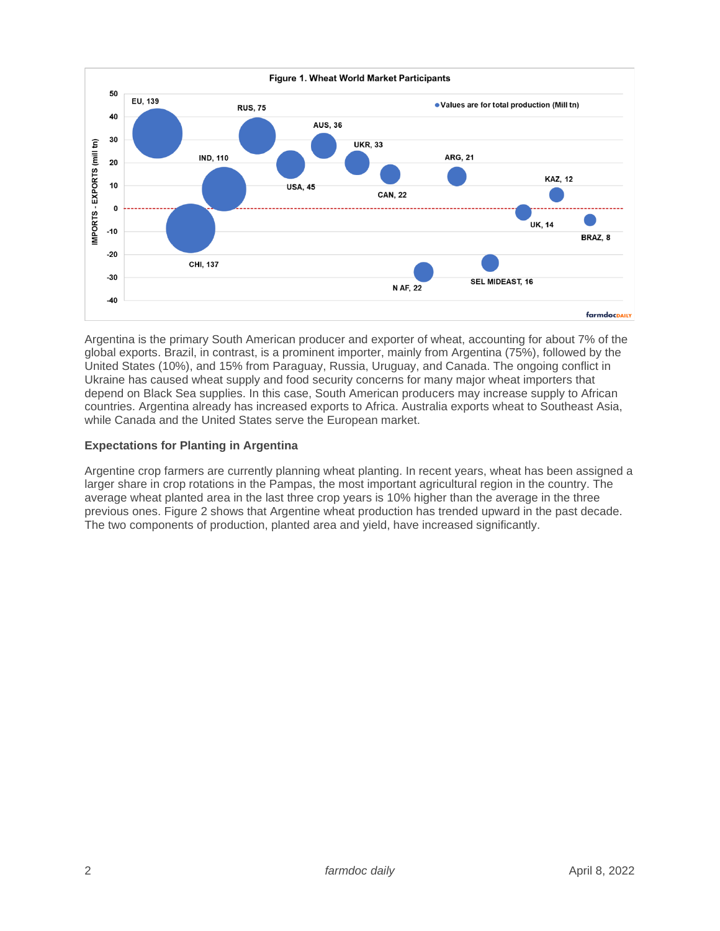

Argentina is the primary South American producer and exporter of wheat, accounting for about 7% of the global exports. Brazil, in contrast, is a prominent importer, mainly from Argentina (75%), followed by the United States (10%), and 15% from Paraguay, Russia, Uruguay, and Canada. The ongoing conflict in Ukraine has caused wheat supply and food security concerns for many major wheat importers that depend on Black Sea supplies. In this case, South American producers may increase supply to African countries. Argentina already has increased exports to Africa. Australia exports wheat to Southeast Asia, while Canada and the United States serve the European market.

# **Expectations for Planting in Argentina**

Argentine crop farmers are currently planning wheat planting. In recent years, wheat has been assigned a larger share in crop rotations in the Pampas, the most important agricultural region in the country. The average wheat planted area in the last three crop years is 10% higher than the average in the three previous ones. Figure 2 shows that Argentine wheat production has trended upward in the past decade. The two components of production, planted area and yield, have increased significantly.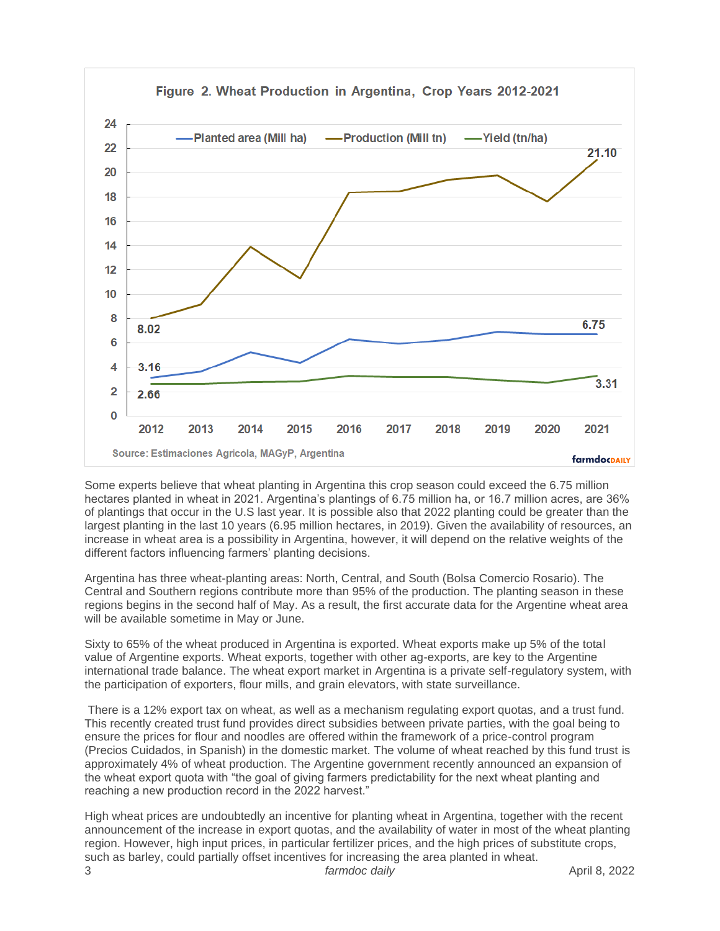

Some experts believe that wheat planting in Argentina this crop season could exceed the 6.75 million hectares planted in wheat in 2021. Argentina's plantings of 6.75 million ha, or 16.7 million acres, are 36% of plantings that occur in the U.S last year. It is possible also that 2022 planting could be greater than the largest planting in the last 10 years (6.95 million hectares, in 2019). Given the availability of resources, an increase in wheat area is a possibility in Argentina, however, it will depend on the relative weights of the different factors influencing farmers' planting decisions.

Argentina has three wheat-planting areas: North, Central, and South (Bolsa Comercio Rosario). The Central and Southern regions contribute more than 95% of the production. The planting season in these regions begins in the second half of May. As a result, the first accurate data for the Argentine wheat area will be available sometime in May or June.

Sixty to 65% of the wheat produced in Argentina is exported. Wheat exports make up 5% of the total value of Argentine exports. Wheat exports, together with other ag-exports, are key to the Argentine international trade balance. The wheat export market in Argentina is a private self-regulatory system, with the participation of exporters, flour mills, and grain elevators, with state surveillance.

There is a 12% export tax on wheat, as well as a mechanism regulating export quotas, and a trust fund. This recently created trust fund provides direct subsidies between private parties, with the goal being to ensure the prices for flour and noodles are offered within the framework of a price-control program (Precios Cuidados, in Spanish) in the domestic market. The volume of wheat reached by this fund trust is approximately 4% of wheat production. The Argentine government recently announced an expansion of the wheat export quota with "the goal of giving farmers predictability for the next wheat planting and reaching a new production record in the 2022 harvest."

High wheat prices are undoubtedly an incentive for planting wheat in Argentina, together with the recent announcement of the increase in export quotas, and the availability of water in most of the wheat planting region. However, high input prices, in particular fertilizer prices, and the high prices of substitute crops, such as barley, could partially offset incentives for increasing the area planted in wheat.

3 *farmdoc daily* April 8, 2022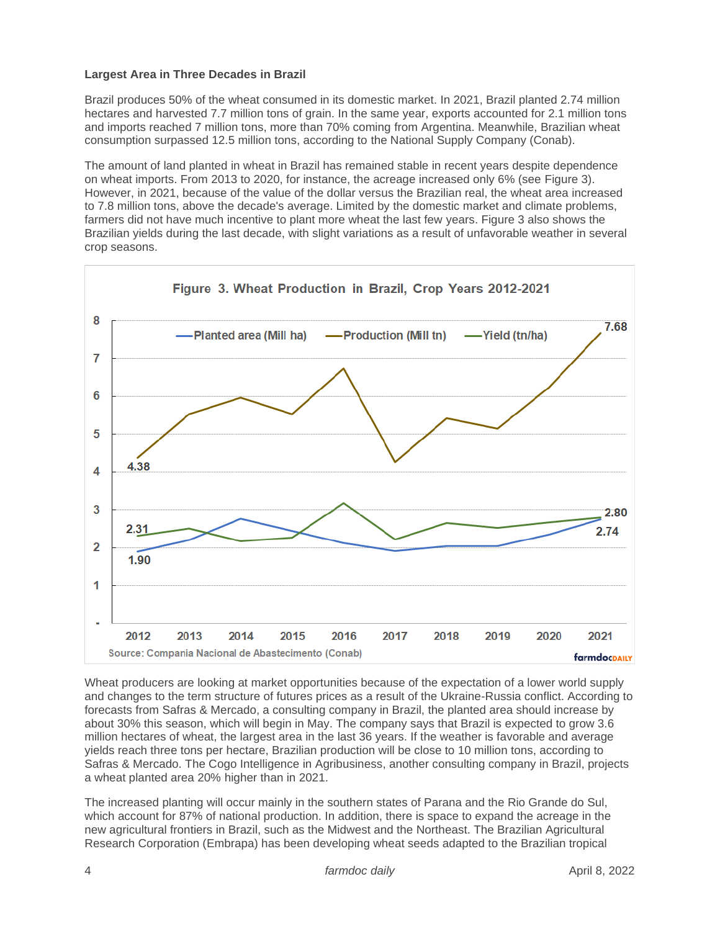# **Largest Area in Three Decades in Brazil**

Brazil produces 50% of the wheat consumed in its domestic market. In 2021, Brazil planted 2.74 million hectares and harvested 7.7 million tons of grain. In the same year, exports accounted for 2.1 million tons and imports reached 7 million tons, more than 70% coming from Argentina. Meanwhile, Brazilian wheat consumption surpassed 12.5 million tons, according to the National Supply Company (Conab).

The amount of land planted in wheat in Brazil has remained stable in recent years despite dependence on wheat imports. From 2013 to 2020, for instance, the acreage increased only 6% (see Figure 3). However, in 2021, because of the value of the dollar versus the Brazilian real, the wheat area increased to 7.8 million tons, above the decade's average. Limited by the domestic market and climate problems, farmers did not have much incentive to plant more wheat the last few years. Figure 3 also shows the Brazilian yields during the last decade, with slight variations as a result of unfavorable weather in several crop seasons.



Wheat producers are looking at market opportunities because of the expectation of a lower world supply and changes to the term structure of futures prices as a result of the Ukraine-Russia conflict. According to forecasts from Safras & Mercado, a consulting company in Brazil, the planted area should increase by about 30% this season, which will begin in May. The company says that Brazil is expected to grow 3.6 million hectares of wheat, the largest area in the last 36 years. If the weather is favorable and average yields reach three tons per hectare, Brazilian production will be close to 10 million tons, according to Safras & Mercado. The Cogo Intelligence in Agribusiness, another consulting company in Brazil, projects a wheat planted area 20% higher than in 2021.

The increased planting will occur mainly in the southern states of Parana and the Rio Grande do Sul, which account for 87% of national production. In addition, there is space to expand the acreage in the new agricultural frontiers in Brazil, such as the Midwest and the Northeast. The Brazilian Agricultural Research Corporation (Embrapa) has been developing wheat seeds adapted to the Brazilian tropical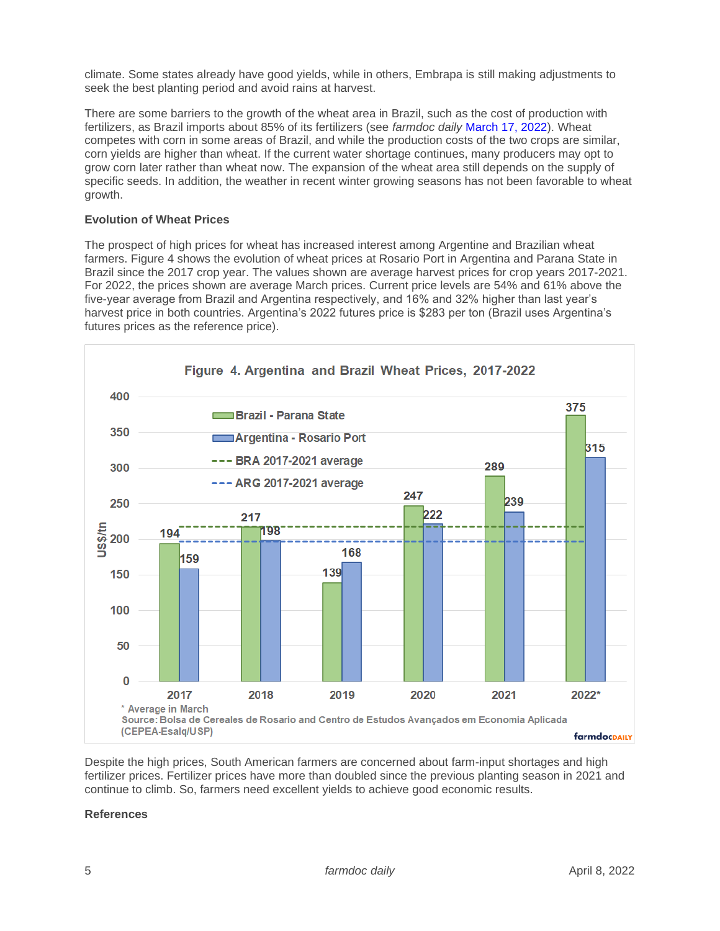climate. Some states already have good yields, while in others, Embrapa is still making adjustments to seek the best planting period and avoid rains at harvest.

There are some barriers to the growth of the wheat area in Brazil, such as the cost of production with fertilizers, as Brazil imports about 85% of its fertilizers (see *farmdoc daily* [March 17, 2022\)](https://farmdocdaily.illinois.edu/2022/03/war-in-ukraine-and-its-effect-on-fertilizer-exports-to-brazil-and-the-us.html). Wheat competes with corn in some areas of Brazil, and while the production costs of the two crops are similar, corn yields are higher than wheat. If the current water shortage continues, many producers may opt to grow corn later rather than wheat now. The expansion of the wheat area still depends on the supply of specific seeds. In addition, the weather in recent winter growing seasons has not been favorable to wheat growth.

## **Evolution of Wheat Prices**

The prospect of high prices for wheat has increased interest among Argentine and Brazilian wheat farmers. Figure 4 shows the evolution of wheat prices at Rosario Port in Argentina and Parana State in Brazil since the 2017 crop year. The values shown are average harvest prices for crop years 2017-2021. For 2022, the prices shown are average March prices. Current price levels are 54% and 61% above the five-year average from Brazil and Argentina respectively, and 16% and 32% higher than last year's harvest price in both countries. Argentina's 2022 futures price is \$283 per ton (Brazil uses Argentina's futures prices as the reference price).



Despite the high prices, South American farmers are concerned about farm-input shortages and high fertilizer prices. Fertilizer prices have more than doubled since the previous planting season in 2021 and continue to climb. So, farmers need excellent yields to achieve good economic results.

### **References**